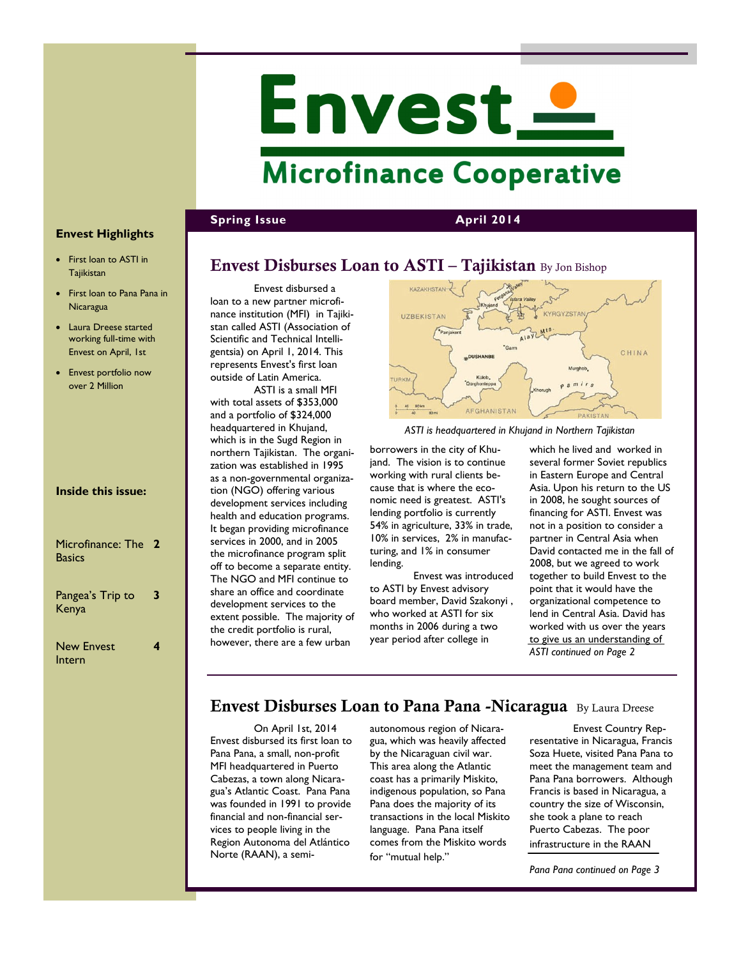# Envest\_ **Microfinance Cooperative**

**Spring Issue April 2014** 

## **Envest Highlights**

- First loan to ASTI in **Tajikistan**
- First loan to Pana Pana in **Nicaragua**
- Laura Dreese started working full-time with Envest on April, 1st
- Envest portfolio now over 2 Million

| <b>Inside this issue:</b> |  |
|---------------------------|--|
|---------------------------|--|

| Microfinance: The 2<br><b>Basics</b> |   |
|--------------------------------------|---|
| Pangea's Trip to<br>Kenya            | 3 |
| <b>New Envest</b>                    |   |

New Envest Intern

Envest disbursed a loan to a new partner microfinance institution (MFI) in Tajikistan called ASTI (Association of Scientific and Technical Intelligentsia) on April 1, 2014. This represents Envest's first loan outside of Latin America.

ASTI is a small MFI with total assets of \$353,000 and a portfolio of \$324,000 headquartered in Khujand, which is in the Sugd Region in northern Tajikistan. The organization was established in 1995 as a non-governmental organization (NGO) offering various development services including health and education programs. It began providing microfinance services in 2000, and in 2005 the microfinance program split off to become a separate entity. The NGO and MFI continue to share an office and coordinate development services to the extent possible. The majority of the credit portfolio is rural, however, there are a few urban



*ASTI is headquartered in Khujand in Northern Tajikistan*

borrowers in the city of Khujand. The vision is to continue working with rural clients because that is where the economic need is greatest. ASTI's lending portfolio is currently 54% in agriculture, 33% in trade, 10% in services, 2% in manufacturing, and 1% in consumer lending.

Envest was introduced to ASTI by Envest advisory board member, David Szakonyi , who worked at ASTI for six months in 2006 during a two year period after college in

which he lived and worked in several former Soviet republics in Eastern Europe and Central Asia. Upon his return to the US in 2008, he sought sources of financing for ASTI. Envest was not in a position to consider a partner in Central Asia when David contacted me in the fall of 2008, but we agreed to work together to build Envest to the point that it would have the organizational competence to lend in Central Asia. David has worked with us over the years to give us an understanding of *ASTI continued on Page 2* 

## **Envest Disburses Loan to Pana Pana -Nicaragua** By Laura Dreese

On April 1st, 2014 Envest disbursed its first loan to Pana Pana, a small, non-profit MFI headquartered in Puerto Cabezas, a town along Nicaragua's Atlantic Coast. Pana Pana was founded in 1991 to provide financial and non-financial services to people living in the Region Autonoma del Atlántico Norte (RAAN), a semiautonomous region of Nicaragua, which was heavily affected by the Nicaraguan civil war. This area along the Atlantic coast has a primarily Miskito, indigenous population, so Pana Pana does the majority of its transactions in the local Miskito language. Pana Pana itself comes from the Miskito words for "mutual help."

Envest Country Representative in Nicaragua, Francis Soza Huete, visited Pana Pana to meet the management team and Pana Pana borrowers. Although Francis is based in Nicaragua, a country the size of Wisconsin, she took a plane to reach Puerto Cabezas. The poor infrastructure in the RAAN

*Pana Pana continued on Page 3*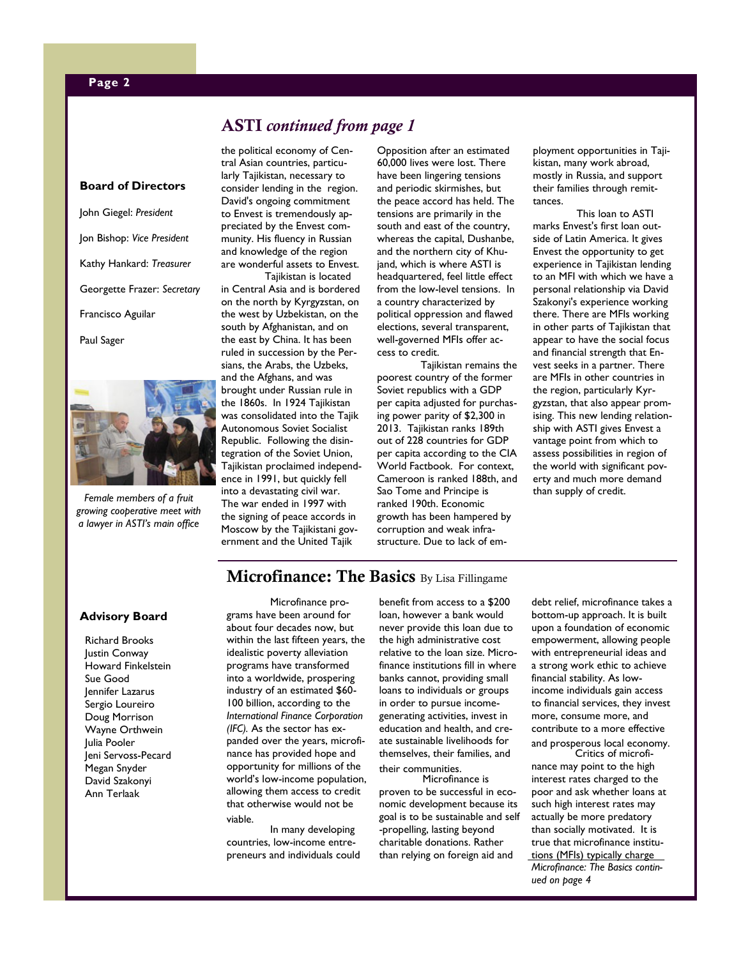#### **Page 2**

## **ASTI** *continued from page 1*

#### **Board of Directors**

John Giegel: *President* Jon Bishop: *Vice President* Kathy Hankard: *Treasurer* Georgette Frazer: *Secretary* Francisco Aguilar Paul Sager



*Female members of a fruit growing cooperative meet with a lawyer in ASTI's main office*

the political economy of Central Asian countries, particularly Tajikistan, necessary to consider lending in the region. David's ongoing commitment to Envest is tremendously appreciated by the Envest community. His fluency in Russian and knowledge of the region are wonderful assets to Envest.

Tajikistan is located in Central Asia and is bordered on the north by Kyrgyzstan, on the west by Uzbekistan, on the south by Afghanistan, and on the east by China. It has been ruled in succession by the Persians, the Arabs, the Uzbeks, and the Afghans, and was brought under Russian rule in the 1860s. In 1924 Tajikistan was consolidated into the Tajik Autonomous Soviet Socialist Republic. Following the disintegration of the Soviet Union, Tajikistan proclaimed independence in 1991, but quickly fell into a devastating civil war. The war ended in 1997 with the signing of peace accords in Moscow by the Tajikistani government and the United Tajik

Opposition after an estimated 60,000 lives were lost. There have been lingering tensions and periodic skirmishes, but the peace accord has held. The tensions are primarily in the south and east of the country, whereas the capital, Dushanbe, and the northern city of Khujand, which is where ASTI is headquartered, feel little effect from the low-level tensions. In a country characterized by political oppression and flawed elections, several transparent, well-governed MFIs offer access to credit.

Tajikistan remains the poorest country of the former Soviet republics with a GDP per capita adjusted for purchasing power parity of \$2,300 in 2013. Tajikistan ranks 189th out of 228 countries for GDP per capita according to the CIA World Factbook. For context, Cameroon is ranked 188th, and Sao Tome and Principe is ranked 190th. Economic growth has been hampered by corruption and weak infrastructure. Due to lack of employment opportunities in Tajikistan, many work abroad, mostly in Russia, and support their families through remittances.

This loan to ASTI marks Envest's first loan outside of Latin America. It gives Envest the opportunity to get experience in Tajikistan lending to an MFI with which we have a personal relationship via David Szakonyi's experience working there. There are MFIs working in other parts of Tajikistan that appear to have the social focus and financial strength that Envest seeks in a partner. There are MFIs in other countries in the region, particularly Kyrgyzstan, that also appear promising. This new lending relationship with ASTI gives Envest a vantage point from which to assess possibilities in region of the world with significant poverty and much more demand than supply of credit.

## **Microfinance: The Basics** By Lisa Fillingame

#### **Advisory Board**

Richard Brooks Justin Conway .<br>Howard Finkelstein Sue Good Jennifer Lazarus Sergio Loureiro Doug Morrison Wayne Orthwein Julia Pooler Jeni Servoss-Pecard Megan Snyder David Szakonyi Ann Terlaak

Microfinance programs have been around for about four decades now, but within the last fifteen years, the idealistic poverty alleviation programs have transformed into a worldwide, prospering industry of an estimated \$60- 100 billion, according to the *International Finance Corporation (IFC).* As the sector has expanded over the years, microfinance has provided hope and opportunity for millions of the world's low-income population, allowing them access to credit that otherwise would not be viable.

In many developing countries, low-income entrepreneurs and individuals could benefit from access to a \$200 loan, however a bank would never provide this loan due to the high administrative cost relative to the loan size. Microfinance institutions fill in where banks cannot, providing small loans to individuals or groups in order to pursue incomegenerating activities, invest in education and health, and create sustainable livelihoods for themselves, their families, and their communities.

Microfinance is proven to be successful in economic development because its goal is to be sustainable and self -propelling, lasting beyond charitable donations. Rather than relying on foreign aid and

debt relief, microfinance takes a bottom-up approach. It is built upon a foundation of economic empowerment, allowing people with entrepreneurial ideas and a strong work ethic to achieve financial stability. As lowincome individuals gain access to financial services, they invest more, consume more, and contribute to a more effective and prosperous local economy.

Critics of microfinance may point to the high interest rates charged to the poor and ask whether loans at such high interest rates may actually be more predatory than socially motivated. It is true that microfinance institutions (MFIs) typically charge *Microfinance: The Basics continued on page 4*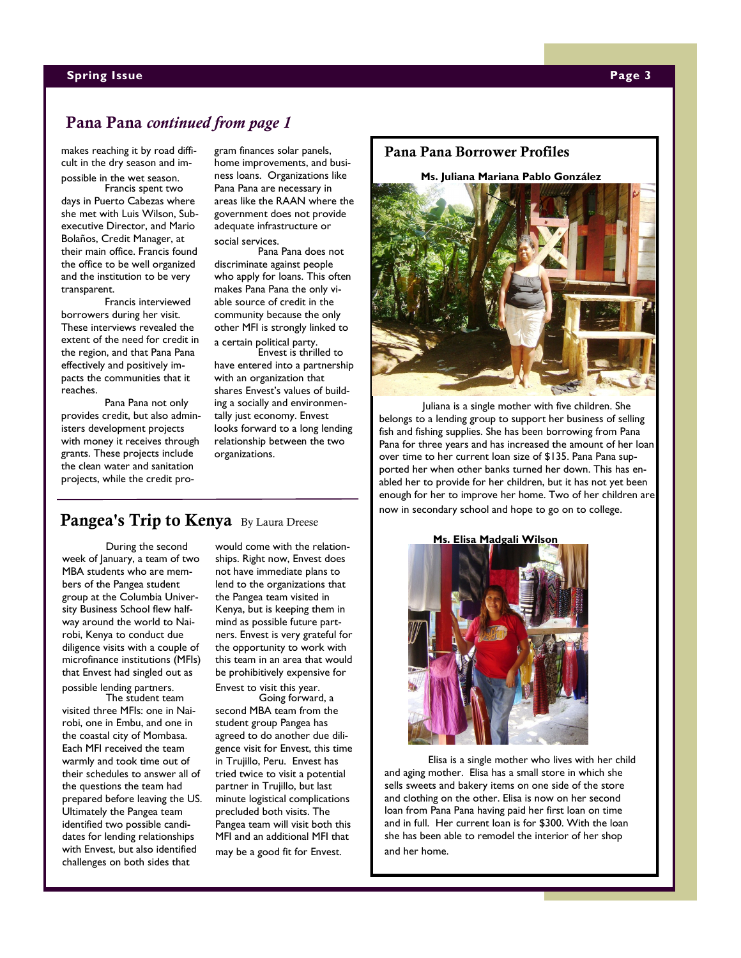#### **Spring Issue Page 3**

## **Pana Pana** *continued from page 1*

makes reaching it by road difficult in the dry season and impossible in the wet season.

Francis spent two days in Puerto Cabezas where she met with Luis Wilson, Subexecutive Director, and Mario Bolaños, Credit Manager, at their main office. Francis found the office to be well organized and the institution to be very transparent.

Francis interviewed borrowers during her visit. These interviews revealed the extent of the need for credit in the region, and that Pana Pana effectively and positively impacts the communities that it reaches.

Pana Pana not only provides credit, but also administers development projects with money it receives through grants. These projects include the clean water and sanitation projects, while the credit program finances solar panels, home improvements, and business loans. Organizations like Pana Pana are necessary in areas like the RAAN where the government does not provide adequate infrastructure or social services.

Pana Pana does not discriminate against people who apply for loans. This often makes Pana Pana the only viable source of credit in the community because the only other MFI is strongly linked to a certain political party.

Envest is thrilled to have entered into a partnership with an organization that shares Envest's values of building a socially and environmentally just economy. Envest looks forward to a long lending relationship between the two organizations.

### **Pangea's Trip to Kenya** By Laura Dreese

During the second week of January, a team of two MBA students who are members of the Pangea student group at the Columbia University Business School flew halfway around the world to Nairobi, Kenya to conduct due diligence visits with a couple of microfinance institutions (MFIs) that Envest had singled out as

possible lending partners. The student team visited three MFIs: one in Nairobi, one in Embu, and one in the coastal city of Mombasa. Each MFI received the team warmly and took time out of their schedules to answer all of the questions the team had prepared before leaving the US. Ultimately the Pangea team identified two possible candidates for lending relationships with Envest, but also identified challenges on both sides that

would come with the relationships. Right now, Envest does not have immediate plans to lend to the organizations that the Pangea team visited in Kenya, but is keeping them in mind as possible future partners. Envest is very grateful for the opportunity to work with this team in an area that would be prohibitively expensive for

Envest to visit this year. Going forward, a

second MBA team from the student group Pangea has agreed to do another due diligence visit for Envest, this time in Trujillo, Peru. Envest has tried twice to visit a potential partner in Trujillo, but last minute logistical complications precluded both visits. The Pangea team will visit both this MFI and an additional MFI that may be a good fit for Envest.

#### **Pana Pana Borrower Profiles**

**Ms. Juliana Mariana Pablo González**



Juliana is a single mother with five children. She belongs to a lending group to support her business of selling fish and fishing supplies. She has been borrowing from Pana Pana for three years and has increased the amount of her loan over time to her current loan size of \$135. Pana Pana supported her when other banks turned her down. This has enabled her to provide for her children, but it has not yet been enough for her to improve her home. Two of her children are now in secondary school and hope to go on to college.

**Ms. Elisa Madgali Wilson**



Elisa is a single mother who lives with her child and aging mother. Elisa has a small store in which she sells sweets and bakery items on one side of the store and clothing on the other. Elisa is now on her second loan from Pana Pana having paid her first loan on time and in full. Her current loan is for \$300. With the loan she has been able to remodel the interior of her shop and her home.